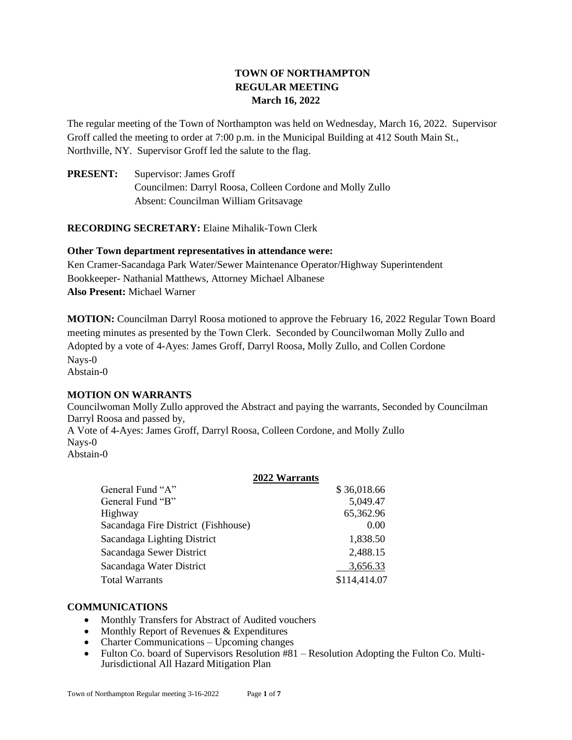# **TOWN OF NORTHAMPTON REGULAR MEETING March 16, 2022**

The regular meeting of the Town of Northampton was held on Wednesday, March 16, 2022. Supervisor Groff called the meeting to order at 7:00 p.m. in the Municipal Building at 412 South Main St., Northville, NY. Supervisor Groff led the salute to the flag.

**PRESENT:** Supervisor: James Groff Councilmen: Darryl Roosa, Colleen Cordone and Molly Zullo Absent: Councilman William Gritsavage

**RECORDING SECRETARY:** Elaine Mihalik-Town Clerk

## **Other Town department representatives in attendance were:**

Ken Cramer-Sacandaga Park Water/Sewer Maintenance Operator/Highway Superintendent Bookkeeper- Nathanial Matthews, Attorney Michael Albanese **Also Present:** Michael Warner

**MOTION:** Councilman Darryl Roosa motioned to approve the February 16, 2022 Regular Town Board meeting minutes as presented by the Town Clerk. Seconded by Councilwoman Molly Zullo and Adopted by a vote of 4-Ayes: James Groff, Darryl Roosa, Molly Zullo, and Collen Cordone Nays-0 Abstain-0

## **MOTION ON WARRANTS**

Councilwoman Molly Zullo approved the Abstract and paying the warrants, Seconded by Councilman Darryl Roosa and passed by, A Vote of 4-Ayes: James Groff, Darryl Roosa, Colleen Cordone, and Molly Zullo Nays-0

Abstain-0

## **2022 Warrants**

| General Fund "A"                    | \$36,018.66  |  |
|-------------------------------------|--------------|--|
| General Fund "B"                    | 5,049.47     |  |
| Highway                             | 65,362.96    |  |
| Sacandaga Fire District (Fishhouse) | 0.00         |  |
| Sacandaga Lighting District         | 1,838.50     |  |
| Sacandaga Sewer District            | 2,488.15     |  |
| Sacandaga Water District            | 3,656.33     |  |
| <b>Total Warrants</b>               | \$114,414.07 |  |

## **COMMUNICATIONS**

- Monthly Transfers for Abstract of Audited vouchers
- Monthly Report of Revenues & Expenditures
- Charter Communications Upcoming changes
- Fulton Co. board of Supervisors Resolution #81 Resolution Adopting the Fulton Co. Multi-Jurisdictional All Hazard Mitigation Plan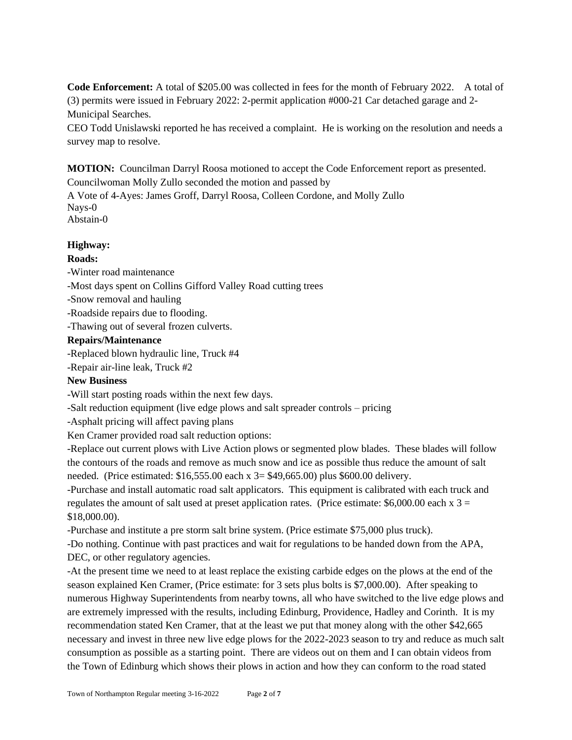**Code Enforcement:** A total of \$205.00 was collected in fees for the month of February 2022. A total of (3) permits were issued in February 2022: 2-permit application #000-21 Car detached garage and 2- Municipal Searches.

CEO Todd Unislawski reported he has received a complaint. He is working on the resolution and needs a survey map to resolve.

**MOTION:** Councilman Darryl Roosa motioned to accept the Code Enforcement report as presented. Councilwoman Molly Zullo seconded the motion and passed by

A Vote of 4-Ayes: James Groff, Darryl Roosa, Colleen Cordone, and Molly Zullo Nays-0 Abstain-0

**Highway:**

## **Roads:**

-Winter road maintenance

-Most days spent on Collins Gifford Valley Road cutting trees

-Snow removal and hauling

-Roadside repairs due to flooding.

-Thawing out of several frozen culverts.

## **Repairs/Maintenance**

-Replaced blown hydraulic line, Truck #4

-Repair air-line leak, Truck #2

## **New Business**

-Will start posting roads within the next few days.

-Salt reduction equipment (live edge plows and salt spreader controls – pricing

-Asphalt pricing will affect paving plans

Ken Cramer provided road salt reduction options:

-Replace out current plows with Live Action plows or segmented plow blades. These blades will follow the contours of the roads and remove as much snow and ice as possible thus reduce the amount of salt needed. (Price estimated: \$16,555.00 each x 3= \$49,665.00) plus \$600.00 delivery.

-Purchase and install automatic road salt applicators. This equipment is calibrated with each truck and regulates the amount of salt used at preset application rates. (Price estimate:  $$6,000.00$  each x 3 = \$18,000.00).

-Purchase and institute a pre storm salt brine system. (Price estimate \$75,000 plus truck).

-Do nothing. Continue with past practices and wait for regulations to be handed down from the APA, DEC, or other regulatory agencies.

-At the present time we need to at least replace the existing carbide edges on the plows at the end of the season explained Ken Cramer, (Price estimate: for 3 sets plus bolts is \$7,000.00). After speaking to numerous Highway Superintendents from nearby towns, all who have switched to the live edge plows and are extremely impressed with the results, including Edinburg, Providence, Hadley and Corinth. It is my recommendation stated Ken Cramer, that at the least we put that money along with the other \$42,665 necessary and invest in three new live edge plows for the 2022-2023 season to try and reduce as much salt consumption as possible as a starting point. There are videos out on them and I can obtain videos from the Town of Edinburg which shows their plows in action and how they can conform to the road stated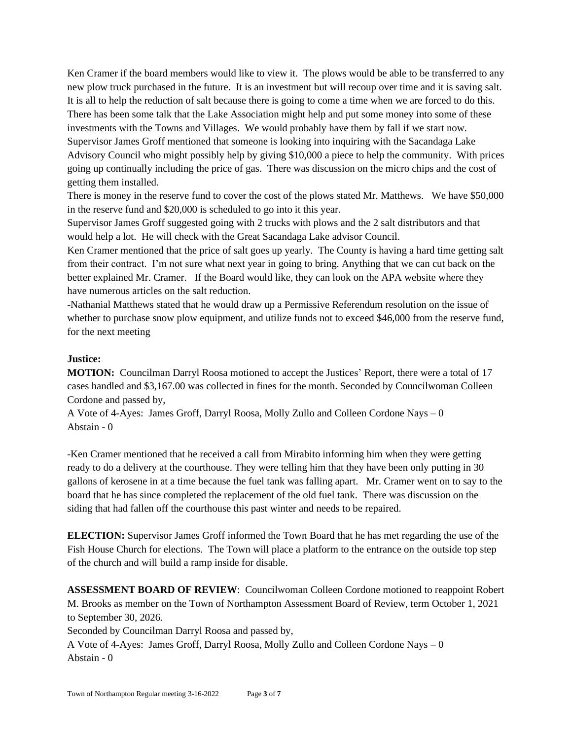Ken Cramer if the board members would like to view it. The plows would be able to be transferred to any new plow truck purchased in the future. It is an investment but will recoup over time and it is saving salt. It is all to help the reduction of salt because there is going to come a time when we are forced to do this. There has been some talk that the Lake Association might help and put some money into some of these investments with the Towns and Villages. We would probably have them by fall if we start now. Supervisor James Groff mentioned that someone is looking into inquiring with the Sacandaga Lake Advisory Council who might possibly help by giving \$10,000 a piece to help the community. With prices going up continually including the price of gas. There was discussion on the micro chips and the cost of getting them installed.

There is money in the reserve fund to cover the cost of the plows stated Mr. Matthews. We have \$50,000 in the reserve fund and \$20,000 is scheduled to go into it this year.

Supervisor James Groff suggested going with 2 trucks with plows and the 2 salt distributors and that would help a lot. He will check with the Great Sacandaga Lake advisor Council.

Ken Cramer mentioned that the price of salt goes up yearly. The County is having a hard time getting salt from their contract. I'm not sure what next year in going to bring. Anything that we can cut back on the better explained Mr. Cramer. If the Board would like, they can look on the APA website where they have numerous articles on the salt reduction.

-Nathanial Matthews stated that he would draw up a Permissive Referendum resolution on the issue of whether to purchase snow plow equipment, and utilize funds not to exceed \$46,000 from the reserve fund, for the next meeting

## **Justice:**

**MOTION:** Councilman Darryl Roosa motioned to accept the Justices' Report, there were a total of 17 cases handled and \$3,167.00 was collected in fines for the month. Seconded by Councilwoman Colleen Cordone and passed by,

A Vote of 4-Ayes: James Groff, Darryl Roosa, Molly Zullo and Colleen Cordone Nays – 0 Abstain - 0

-Ken Cramer mentioned that he received a call from Mirabito informing him when they were getting ready to do a delivery at the courthouse. They were telling him that they have been only putting in 30 gallons of kerosene in at a time because the fuel tank was falling apart. Mr. Cramer went on to say to the board that he has since completed the replacement of the old fuel tank. There was discussion on the siding that had fallen off the courthouse this past winter and needs to be repaired.

**ELECTION:** Supervisor James Groff informed the Town Board that he has met regarding the use of the Fish House Church for elections. The Town will place a platform to the entrance on the outside top step of the church and will build a ramp inside for disable.

**ASSESSMENT BOARD OF REVIEW**: Councilwoman Colleen Cordone motioned to reappoint Robert M. Brooks as member on the Town of Northampton Assessment Board of Review, term October 1, 2021 to September 30, 2026.

Seconded by Councilman Darryl Roosa and passed by,

A Vote of 4-Ayes: James Groff, Darryl Roosa, Molly Zullo and Colleen Cordone Nays – 0 Abstain - 0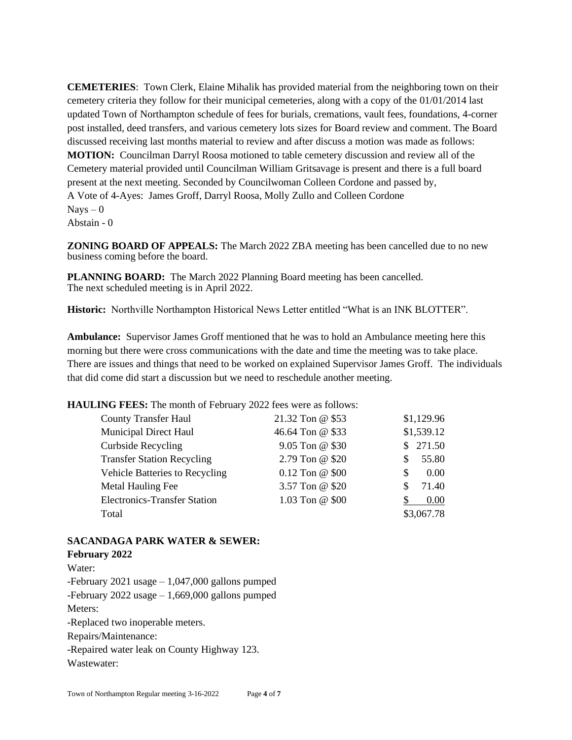**CEMETERIES**: Town Clerk, Elaine Mihalik has provided material from the neighboring town on their cemetery criteria they follow for their municipal cemeteries, along with a copy of the 01/01/2014 last updated Town of Northampton schedule of fees for burials, cremations, vault fees, foundations, 4-corner post installed, deed transfers, and various cemetery lots sizes for Board review and comment. The Board discussed receiving last months material to review and after discuss a motion was made as follows: **MOTION:** Councilman Darryl Roosa motioned to table cemetery discussion and review all of the Cemetery material provided until Councilman William Gritsavage is present and there is a full board present at the next meeting. Seconded by Councilwoman Colleen Cordone and passed by, A Vote of 4-Ayes: James Groff, Darryl Roosa, Molly Zullo and Colleen Cordone  $Nays - 0$ Abstain - 0

**ZONING BOARD OF APPEALS:** The March 2022 ZBA meeting has been cancelled due to no new business coming before the board.

**PLANNING BOARD:** The March 2022 Planning Board meeting has been cancelled. The next scheduled meeting is in April 2022.

**Historic:** Northville Northampton Historical News Letter entitled "What is an INK BLOTTER".

**Ambulance:** Supervisor James Groff mentioned that he was to hold an Ambulance meeting here this morning but there were cross communications with the date and time the meeting was to take place. There are issues and things that need to be worked on explained Supervisor James Groff. The individuals that did come did start a discussion but we need to reschedule another meeting.

**HAULING FEES:** The month of February 2022 fees were as follows:

| <b>County Transfer Haul</b>           | 21.32 Ton @ \$53   | \$1,129.96  |
|---------------------------------------|--------------------|-------------|
| <b>Municipal Direct Haul</b>          | 46.64 Ton @ \$33   | \$1,539.12  |
| <b>Curbside Recycling</b>             | 9.05 Ton @ \$30    | \$271.50    |
| <b>Transfer Station Recycling</b>     | 2.79 Ton @ \$20    | 55.80<br>S  |
| <b>Vehicle Batteries to Recycling</b> | $0.12$ Ton @ $$00$ | 0.00<br>\$. |
| Metal Hauling Fee                     | 3.57 Ton @ \$20    | 71.40       |
| <b>Electronics-Transfer Station</b>   | 1.03 Ton @ \$00    | 0.00        |
| Total                                 |                    | \$3,067.78  |

#### **SACANDAGA PARK WATER & SEWER:**

**February 2022** Water: -February 2021 usage  $-1,047,000$  gallons pumped -February 2022 usage – 1,669,000 gallons pumped Meters: -Replaced two inoperable meters. Repairs/Maintenance: -Repaired water leak on County Highway 123. Wastewater: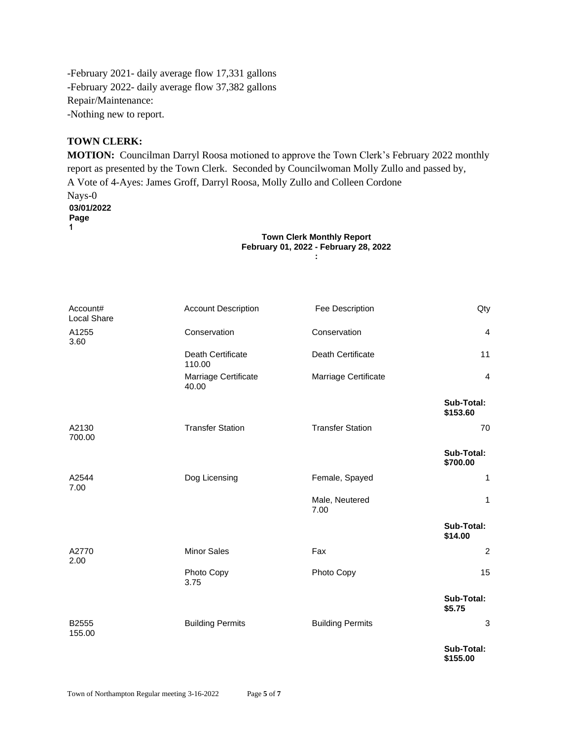-February 2021- daily average flow 17,331 gallons -February 2022- daily average flow 37,382 gallons Repair/Maintenance: -Nothing new to report.

## **TOWN CLERK:**

**MOTION:** Councilman Darryl Roosa motioned to approve the Town Clerk's February 2022 monthly report as presented by the Town Clerk. Seconded by Councilwoman Molly Zullo and passed by, A Vote of 4-Ayes: James Groff, Darryl Roosa, Molly Zullo and Colleen Cordone Nays-0 **03/01/2022 Page 1**

#### **Town Clerk Monthly Report February 01, 2022 - February 28, 2022 :**

| Account#<br>Local Share | <b>Account Description</b>    | Fee Description         | Qty                    |
|-------------------------|-------------------------------|-------------------------|------------------------|
| A1255<br>3.60           | Conservation                  | Conservation            | $\overline{4}$         |
|                         | Death Certificate<br>110.00   | Death Certificate       | 11                     |
|                         | Marriage Certificate<br>40.00 | Marriage Certificate    | $\overline{4}$         |
|                         |                               |                         | Sub-Total:<br>\$153.60 |
| A2130<br>700.00         | <b>Transfer Station</b>       | <b>Transfer Station</b> | 70                     |
|                         |                               |                         | Sub-Total:<br>\$700.00 |
| A2544<br>7.00           | Dog Licensing                 | Female, Spayed          | 1                      |
|                         |                               | Male, Neutered<br>7.00  | 1                      |
|                         |                               |                         | Sub-Total:<br>\$14.00  |
| A2770<br>2.00           | <b>Minor Sales</b>            | Fax                     | $\overline{c}$         |
|                         | Photo Copy<br>3.75            | Photo Copy              | 15                     |
|                         |                               |                         | Sub-Total:<br>\$5.75   |
| B2555<br>155.00         | <b>Building Permits</b>       | <b>Building Permits</b> | 3                      |
|                         |                               |                         | Sub-Total:<br>\$155.00 |

Town of Northampton Regular meeting 3-16-2022 Page **5** of **7**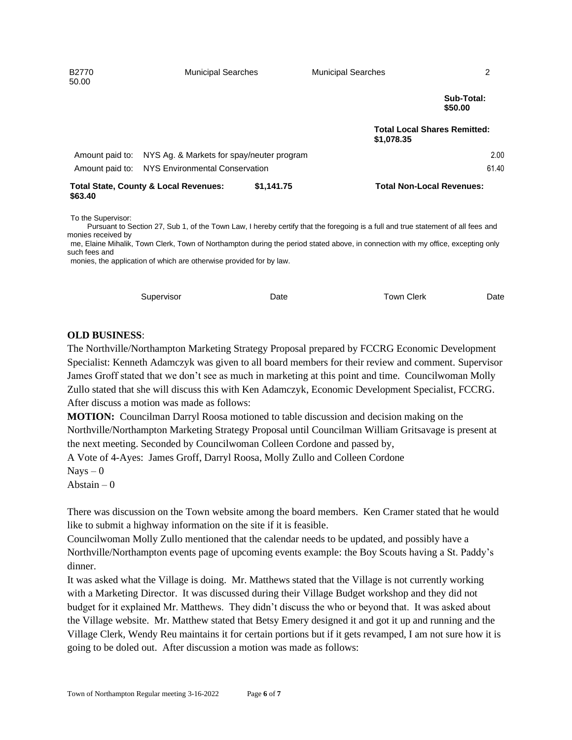| B2770<br>50.00  | <b>Municipal Searches</b>                        |            | <b>Municipal Searches</b>        | 2                                   |
|-----------------|--------------------------------------------------|------------|----------------------------------|-------------------------------------|
|                 |                                                  |            |                                  | Sub-Total:<br>\$50.00               |
|                 |                                                  |            | \$1,078.35                       | <b>Total Local Shares Remitted:</b> |
| Amount paid to: | NYS Ag. & Markets for spay/neuter program        |            |                                  | 2.00                                |
|                 | Amount paid to: NYS Environmental Conservation   |            |                                  | 61.40                               |
| \$63.40         | <b>Total State, County &amp; Local Revenues:</b> | \$1,141.75 | <b>Total Non-Local Revenues:</b> |                                     |

To the Supervisor:

 Pursuant to Section 27, Sub 1, of the Town Law, I hereby certify that the foregoing is a full and true statement of all fees and monies received by

me, Elaine Mihalik, Town Clerk, Town of Northampton during the period stated above, in connection with my office, excepting only such fees and

monies, the application of which are otherwise provided for by law.

| Supervisor | Date | Town Clerk | Date |
|------------|------|------------|------|
|            |      |            |      |

#### **OLD BUSINESS**:

The Northville/Northampton Marketing Strategy Proposal prepared by FCCRG Economic Development Specialist: Kenneth Adamczyk was given to all board members for their review and comment. Supervisor James Groff stated that we don't see as much in marketing at this point and time. Councilwoman Molly Zullo stated that she will discuss this with Ken Adamczyk, Economic Development Specialist, FCCRG. After discuss a motion was made as follows:

**MOTION:** Councilman Darryl Roosa motioned to table discussion and decision making on the Northville/Northampton Marketing Strategy Proposal until Councilman William Gritsavage is present at the next meeting. Seconded by Councilwoman Colleen Cordone and passed by,

A Vote of 4-Ayes: James Groff, Darryl Roosa, Molly Zullo and Colleen Cordone

 $Nays - 0$ 

Abstain  $-0$ 

There was discussion on the Town website among the board members. Ken Cramer stated that he would like to submit a highway information on the site if it is feasible.

Councilwoman Molly Zullo mentioned that the calendar needs to be updated, and possibly have a Northville/Northampton events page of upcoming events example: the Boy Scouts having a St. Paddy's dinner.

It was asked what the Village is doing. Mr. Matthews stated that the Village is not currently working with a Marketing Director. It was discussed during their Village Budget workshop and they did not budget for it explained Mr. Matthews. They didn't discuss the who or beyond that. It was asked about the Village website. Mr. Matthew stated that Betsy Emery designed it and got it up and running and the Village Clerk, Wendy Reu maintains it for certain portions but if it gets revamped, I am not sure how it is going to be doled out. After discussion a motion was made as follows: